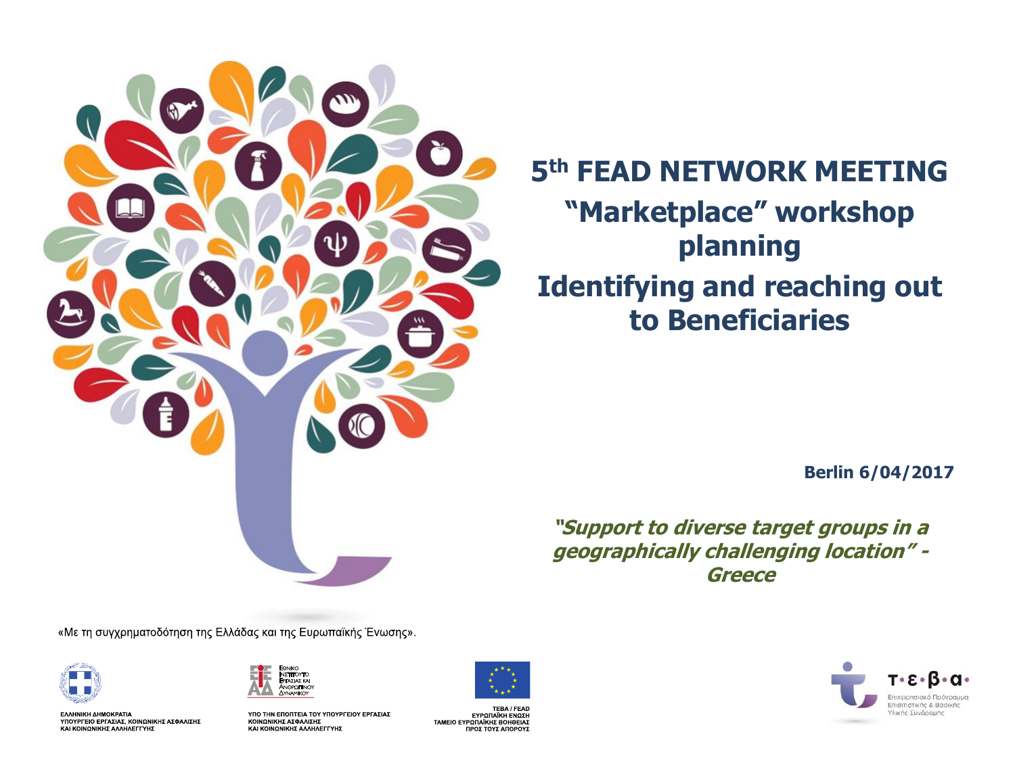

### **5th FEAD NETWORK MEETING "Marketplace" workshop planning Identifying and reaching out to Beneficiaries**

**Berlin 6/04/2017**

**"Support to diverse target groups in a geographically challenging location" - Greece**

«Με τη συγχρηματοδότηση της Ελλάδας και της Ευρωπαϊκής Ένωσης».



ΕΛΛΗΝΙΚΗ ΔΗΜΟΚΡΑΤΙΑ<br>ΥΠΟΥΡΓΕΙΟ ΕΡΓΑΣΙΑΣ, ΚΟΙΝΩΝΙΚΗΣ ΑΣΦΑΛΙΣΗΣ<br>ΚΑΙ ΚΟΙΝΩΝΙΚΗΣ ΑΛΛΗΛΕΓΓΥΗΣ



ΥΠΟ ΤΗΝ ΕΠΟΠΤΕΙΑ ΤΟΥ ΥΠΟΥΡΓΕΙΟΥ ΕΡΓΑΣΙΑΣ ΚΟΙΝΩΝΙΚΗΣ ΑΣΦΑΛΙΣΗΣ KAI KOINQNIKHZ AAAHAEFFYHZ



TEBA / FEAD ΕΥΡΩΠΑΪΚΗ ΕΝΩΣΗ TAMEIO EYPΩΠΑΪΚΗΣ BOHOEIAΣ<br>ΠΡΟΣ ΤΟΥΣ ΑΠΟΡΟΥΣ

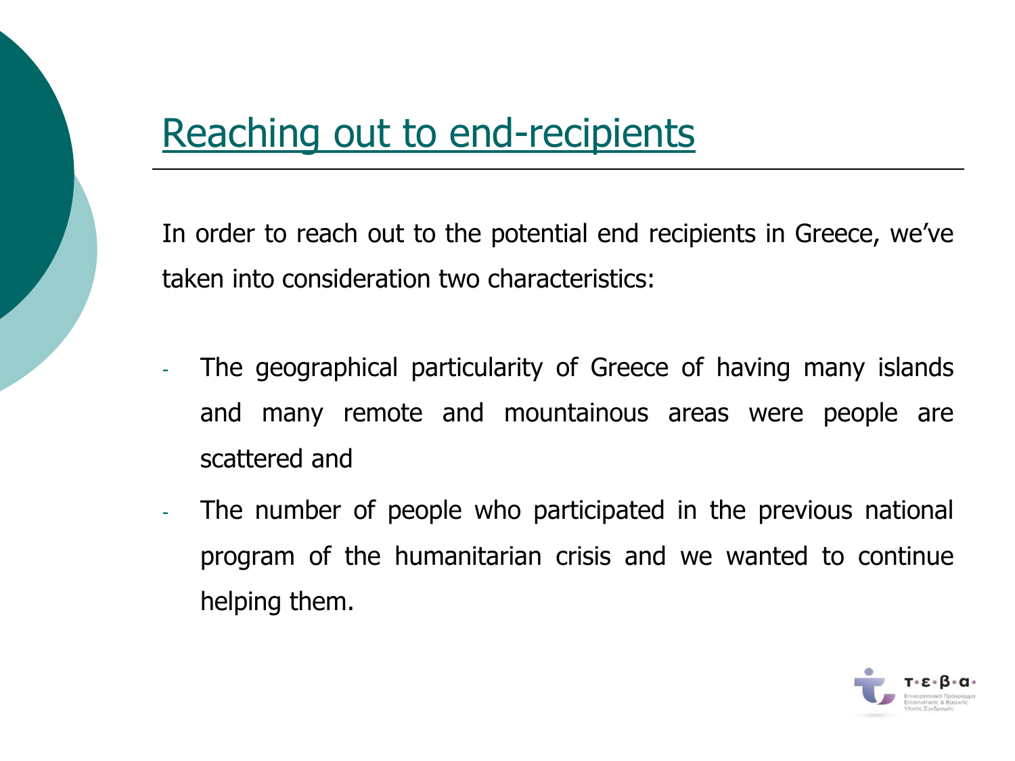### Reaching out to end-recipients

In order to reach out to the potential end recipients in Greece, we've taken into consideration two characteristics:

- The geographical particularity of Greece of having many islands and many remote and mountainous areas were people are scattered and
- The number of people who participated in the previous national program of the humanitarian crisis and we wanted to continue helping them.

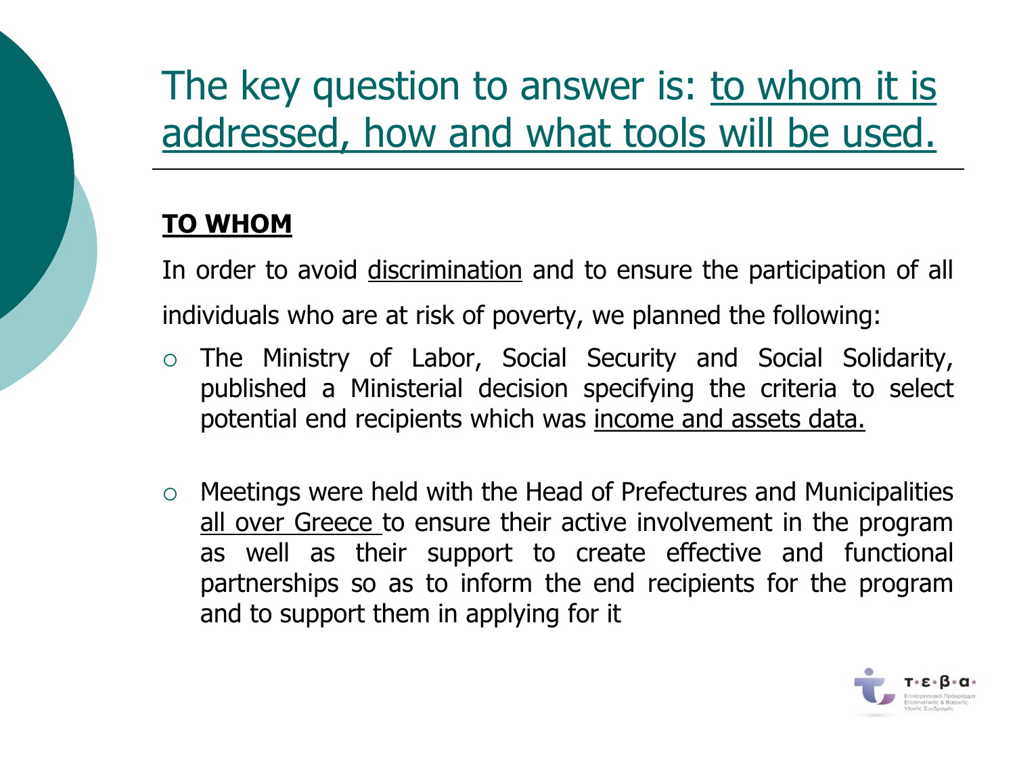# The key question to answer is: to whom it is addressed, how and what tools will be used.

#### **TO WHOM**

In order to avoid discrimination and to ensure the participation of all individuals who are at risk of poverty, we planned the following:

- The Ministry of Labor, Social Security and Social Solidarity, published a Ministerial decision specifying the criteria to select potential end recipients which was income and assets data.
- Meetings were held with the Head of Prefectures and Municipalities all over Greece to ensure their active involvement in the program as well as their support to create effective and functional partnerships so as to inform the end recipients for the program and to support them in applying for it

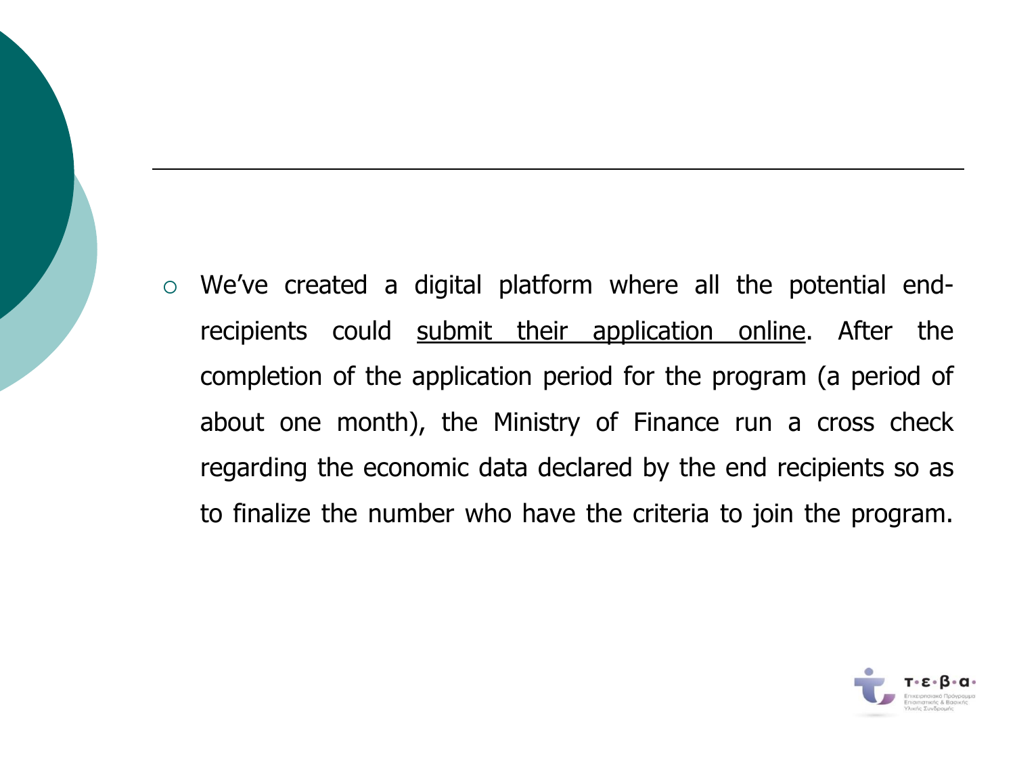We've created a digital platform where all the potential endrecipients could submit their application online. After the completion of the application period for the program (a period of about one month), the Ministry of Finance run a cross check regarding the economic data declared by the end recipients so as to finalize the number who have the criteria to join the program.

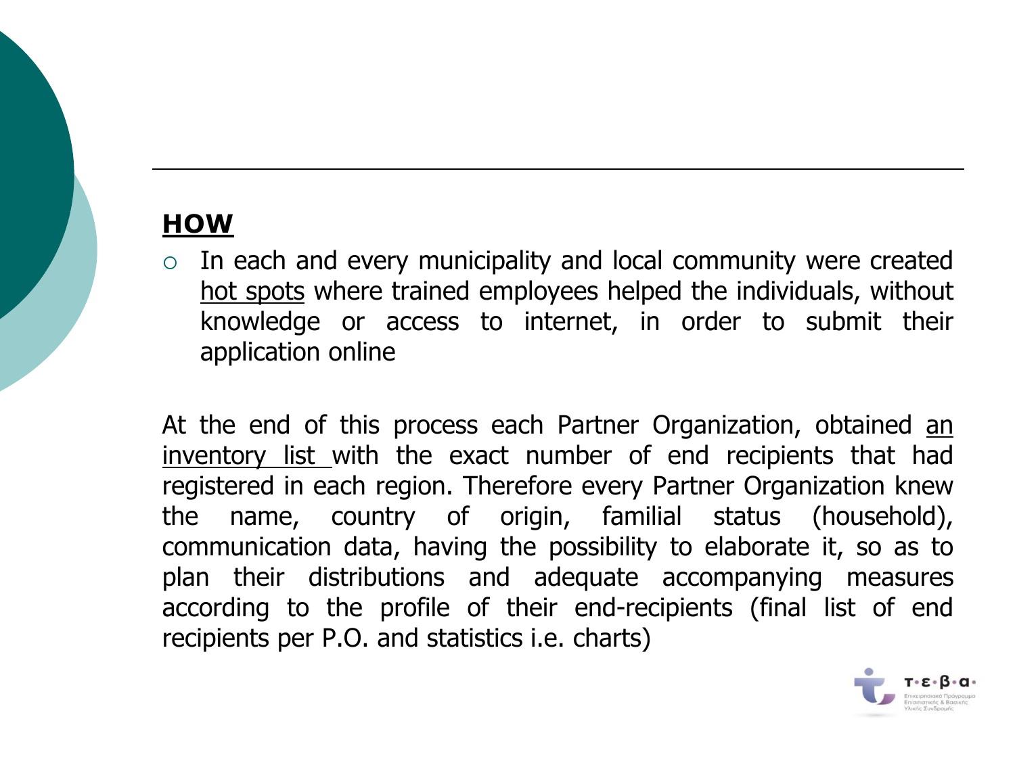#### **HOW**

 $\circ$  In each and every municipality and local community were created hot spots where trained employees helped the individuals, without knowledge or access to internet, in order to submit their application online

At the end of this process each Partner Organization, obtained an inventory list with the exact number of end recipients that had registered in each region. Therefore every Partner Organization knew the name, country of origin, familial status (household), communication data, having the possibility to elaborate it, so as to plan their distributions and adequate accompanying measures according to the profile of their end-recipients (final list of end recipients per P.O. and statistics i.e. charts)

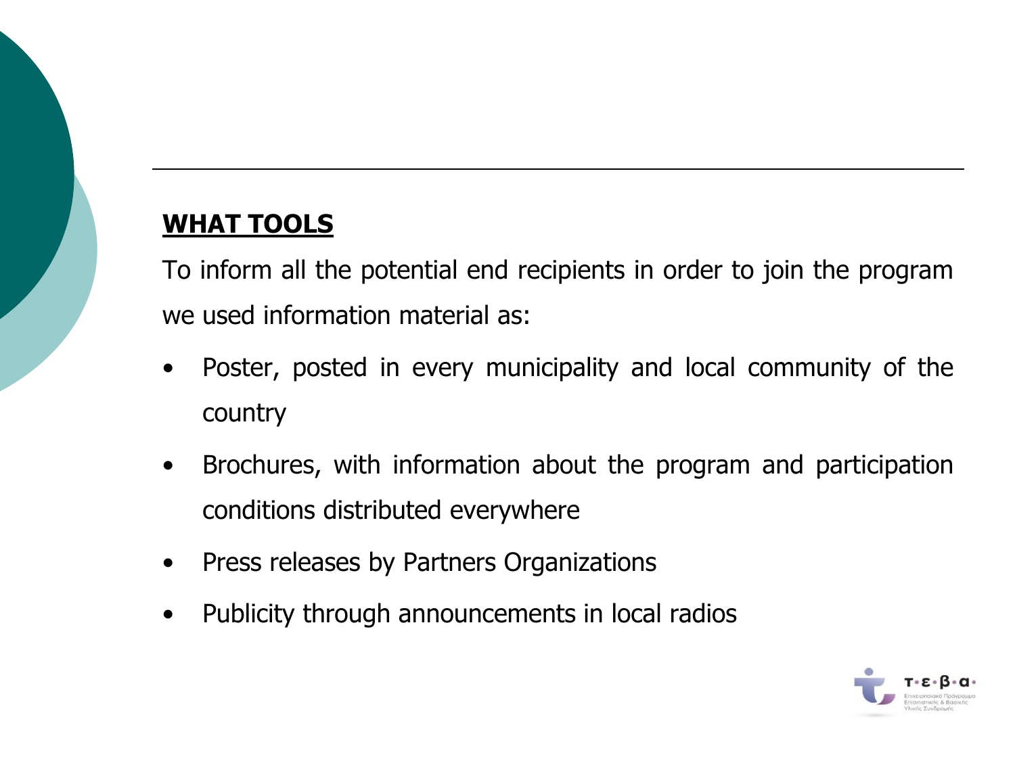#### **WHAT TOOLS**

To inform all the potential end recipients in order to join the program we used information material as:

- Poster, posted in every municipality and local community of the country
- Brochures, with information about the program and participation conditions distributed everywhere
- Press releases by Partners Organizations
- Publicity through announcements in local radios

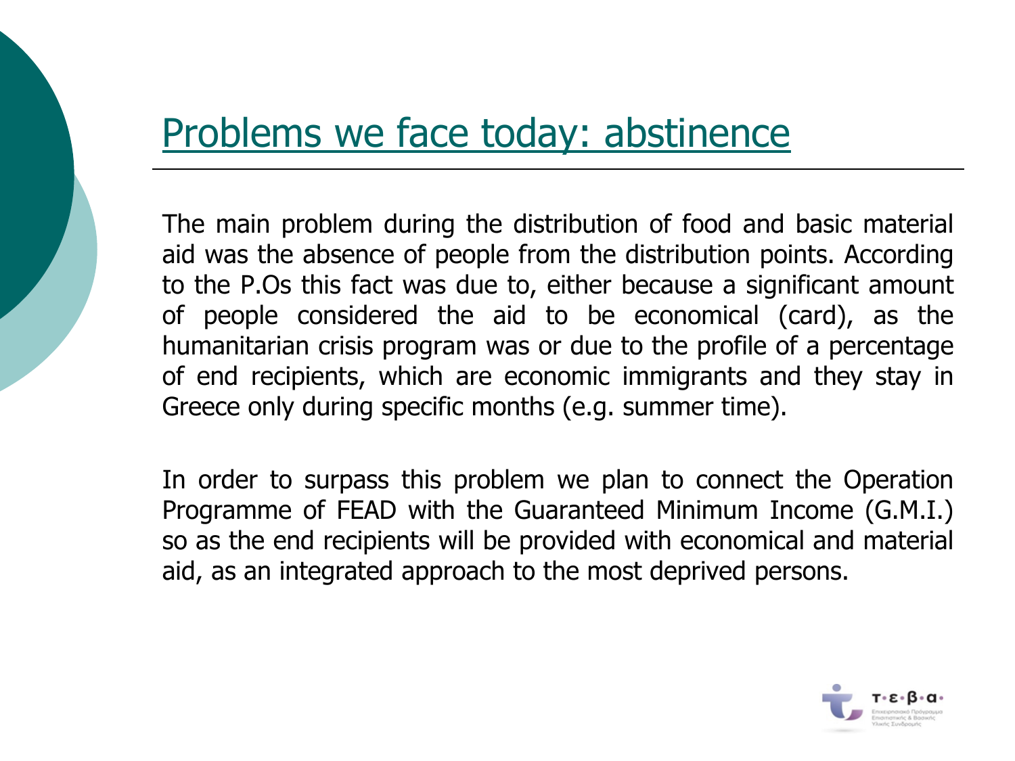### Problems we face today: abstinence

The main problem during the distribution of food and basic material aid was the absence of people from the distribution points. According to the P.Os this fact was due to, either because a significant amount of people considered the aid to be economical (card), as the humanitarian crisis program was or due to the profile of a percentage of end recipients, which are economic immigrants and they stay in Greece only during specific months (e.g. summer time).

In order to surpass this problem we plan to connect the Operation Programme of FEAD with the Guaranteed Minimum Income (G.M.I.) so as the end recipients will be provided with economical and material aid, as an integrated approach to the most deprived persons.

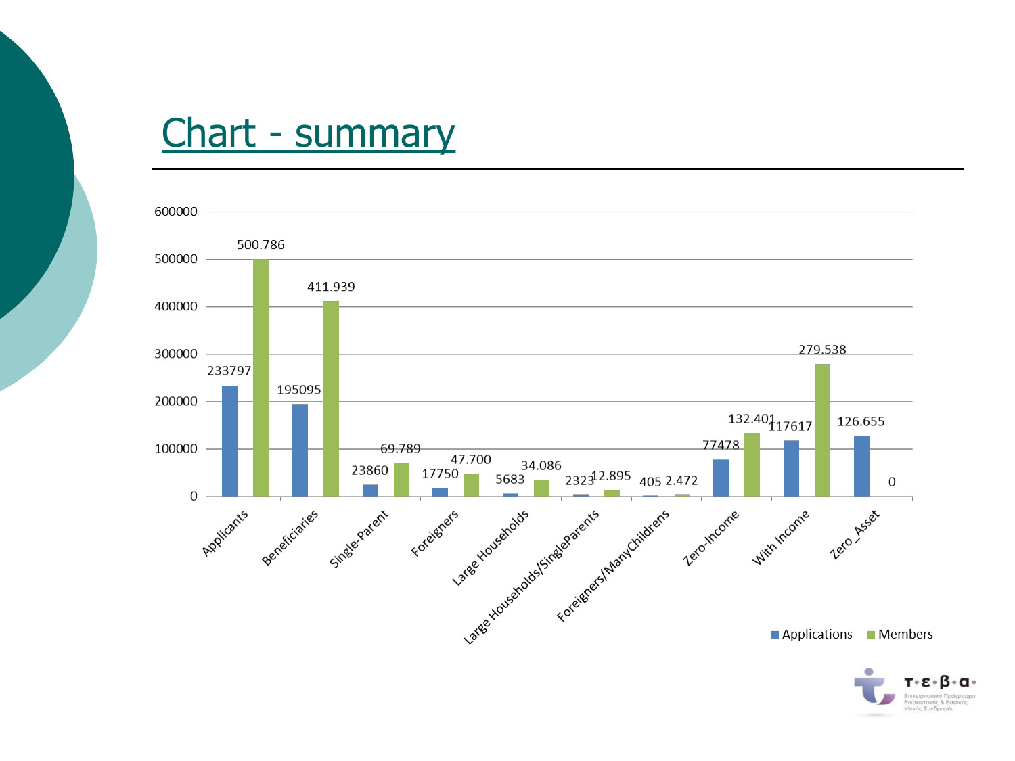### Chart - summary



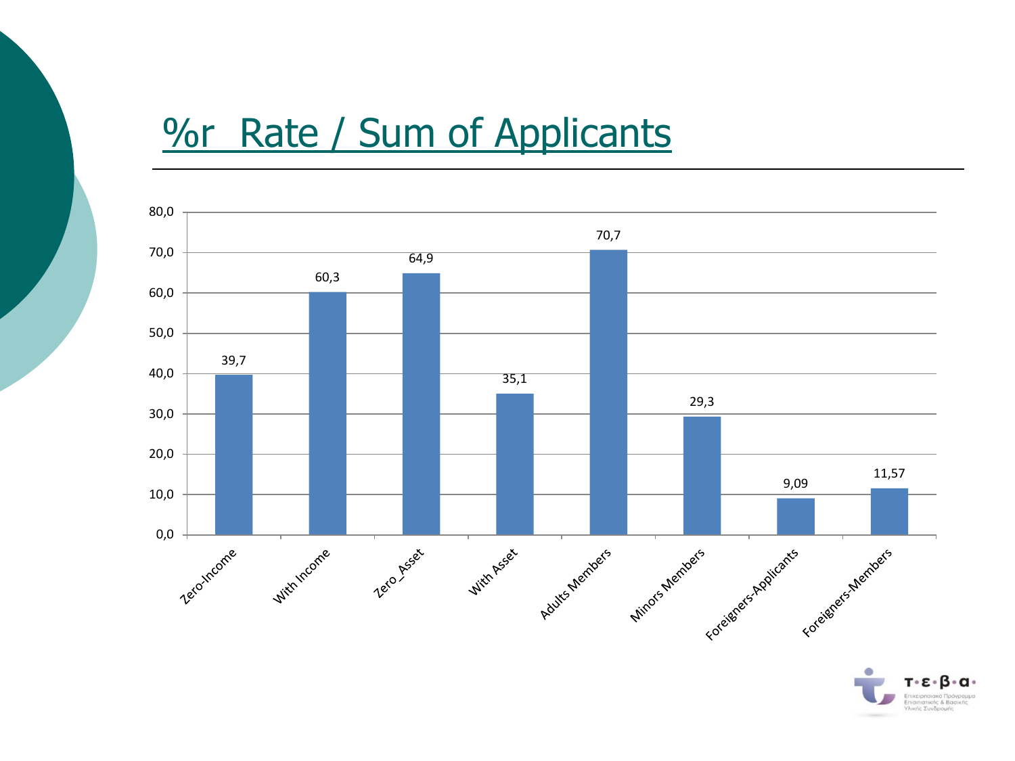## *Yor Rate / Sum of Applicants*



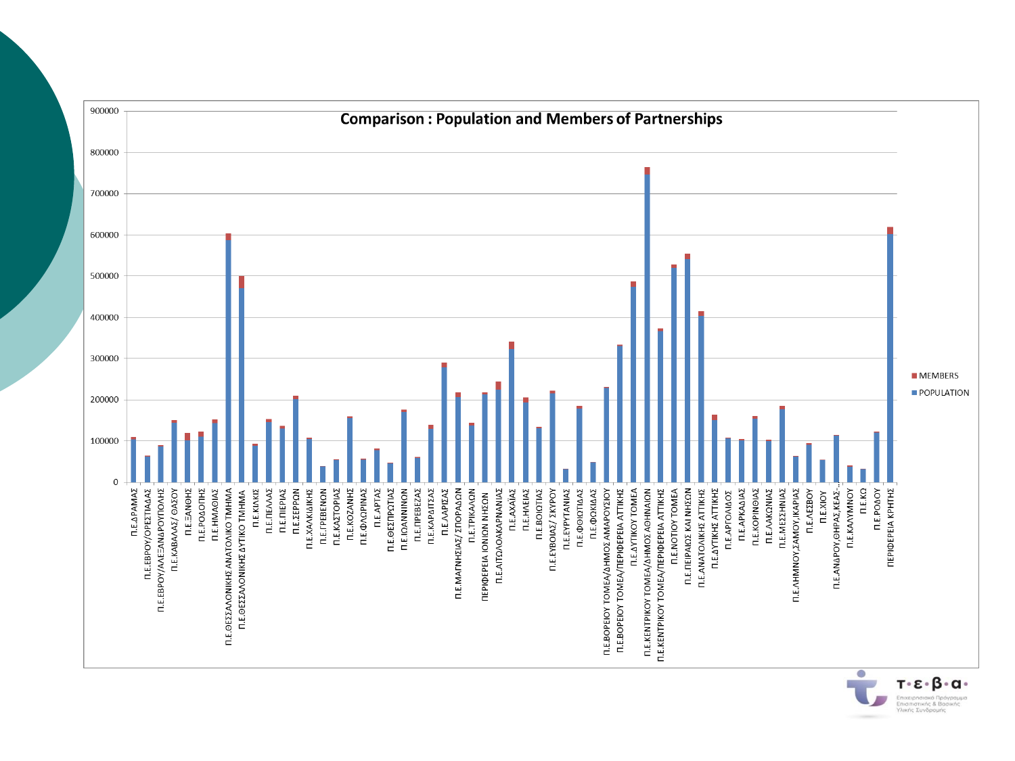

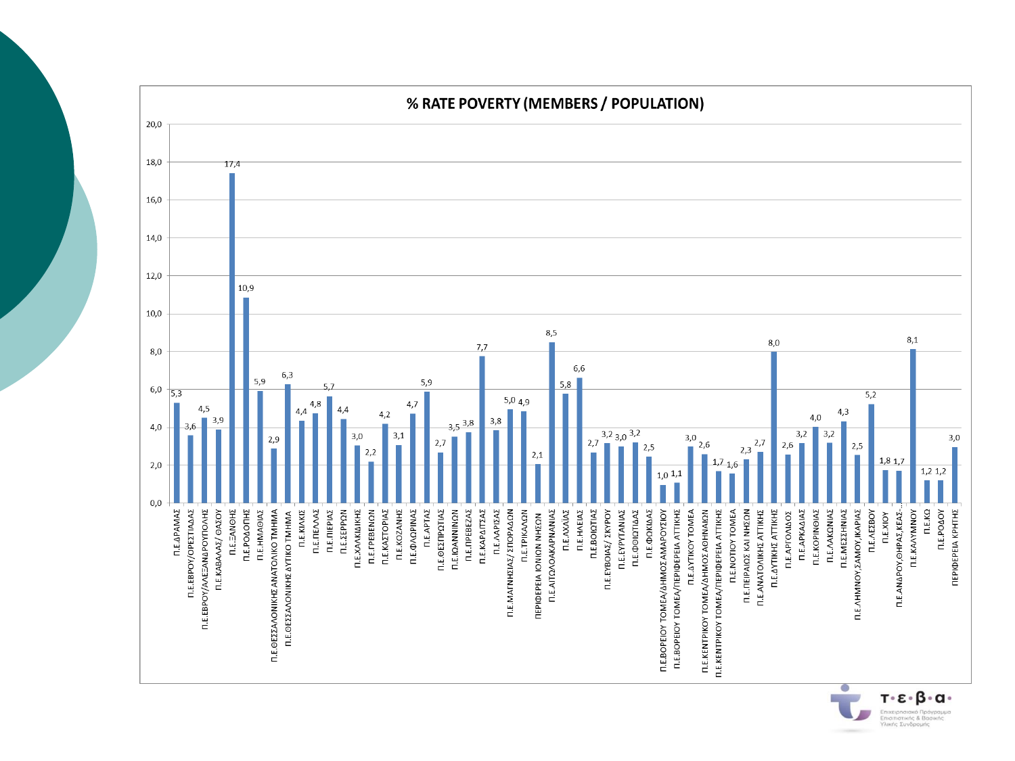

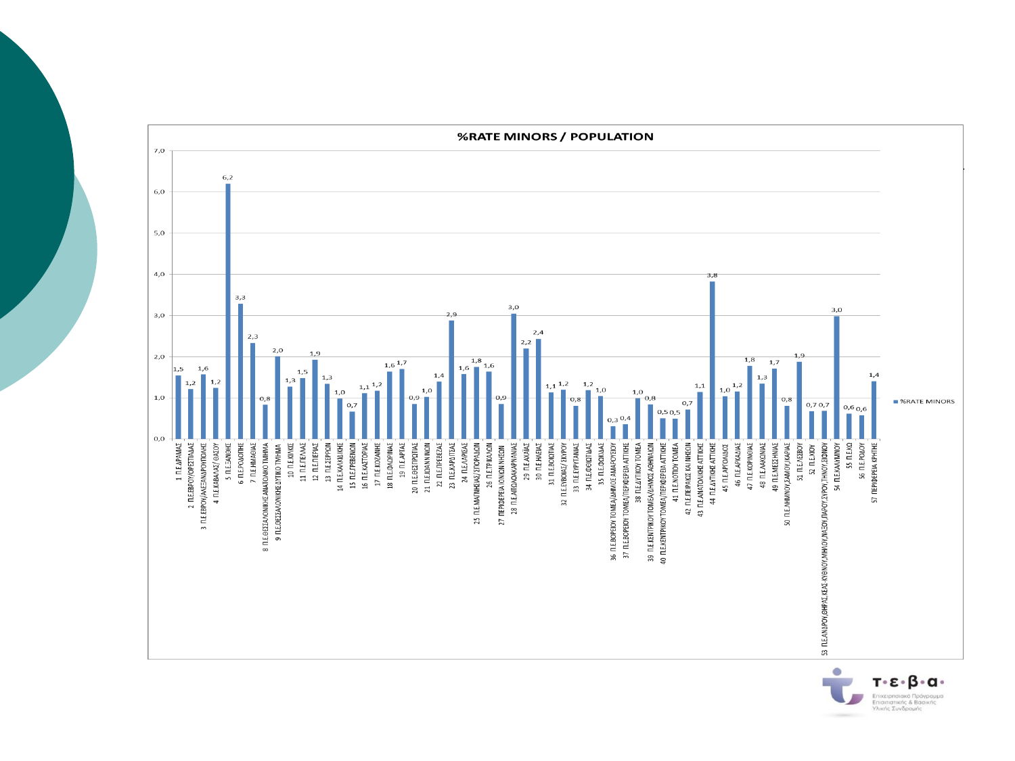

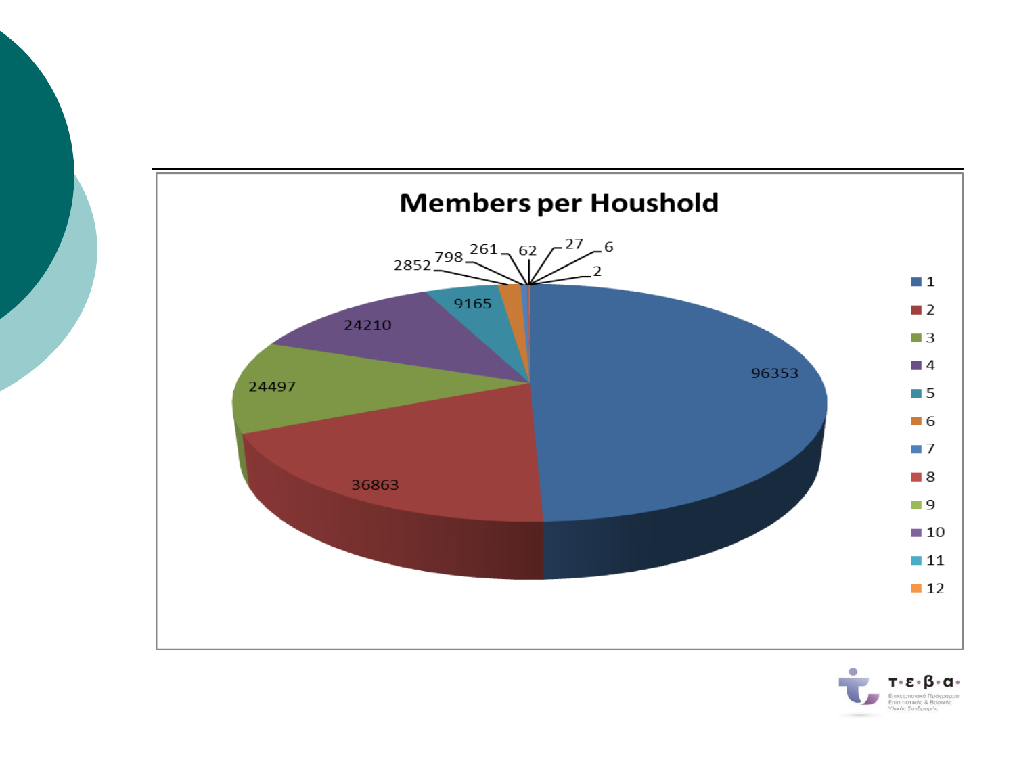

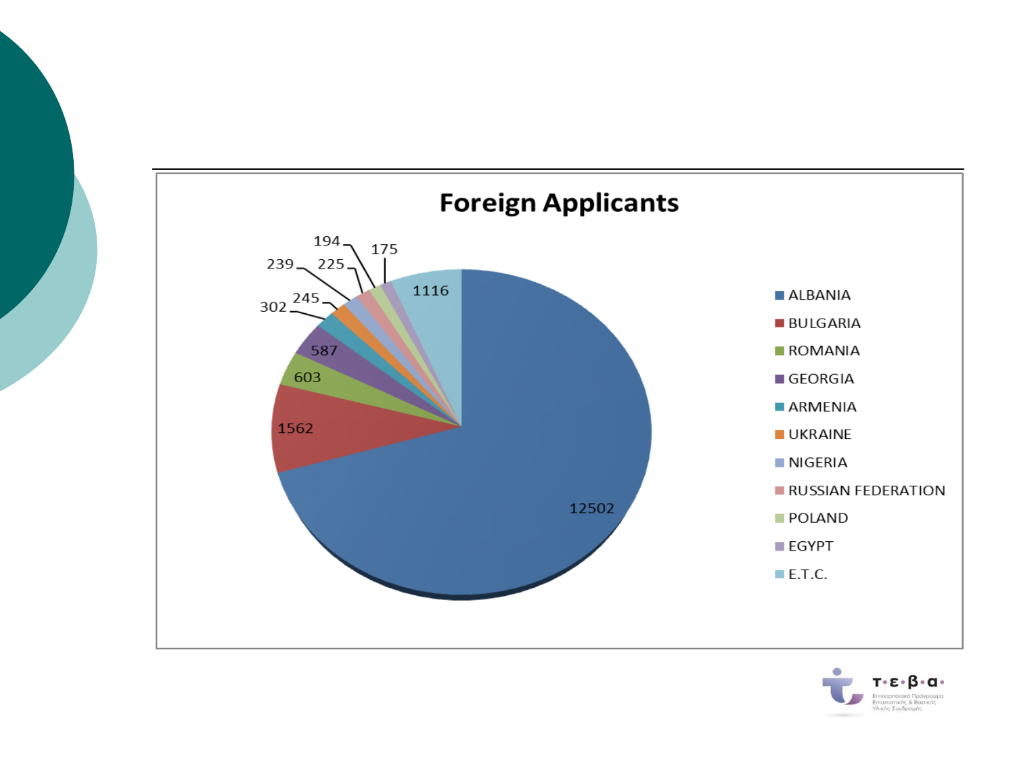

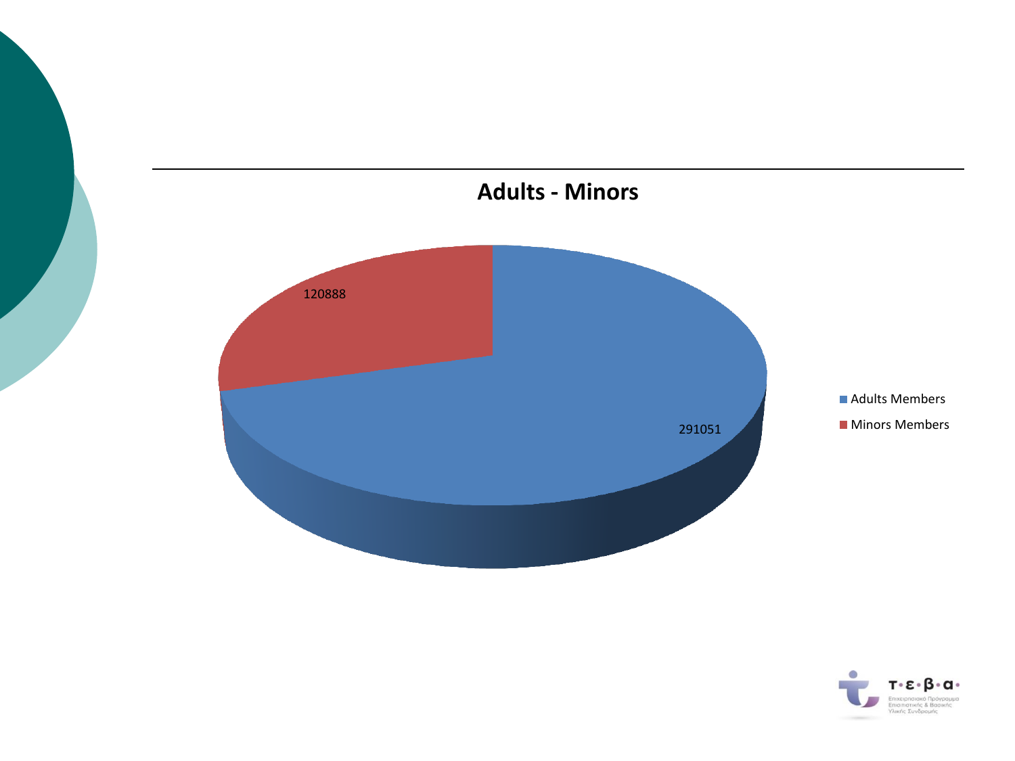